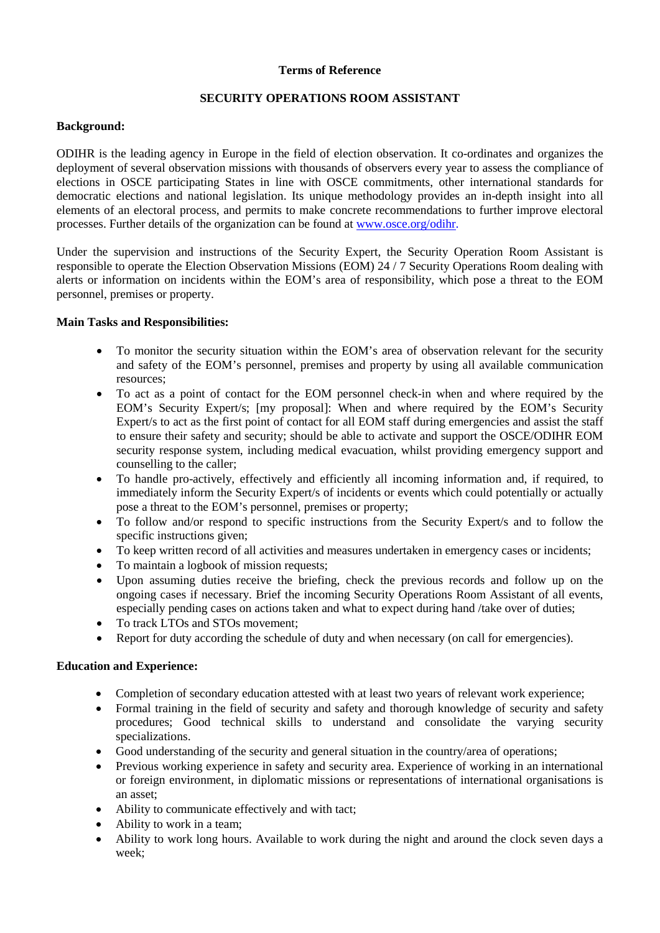#### **Terms of Reference**

### **SECURITY OPERATIONS ROOM ASSISTANT**

### **Background:**

ODIHR is the leading agency in Europe in the field of election observation. It co-ordinates and organizes the deployment of several observation missions with thousands of observers every year to assess the compliance of elections in OSCE participating States in line with OSCE commitments, other international standards for democratic elections and national legislation. Its unique methodology provides an in-depth insight into all elements of an electoral process, and permits to make concrete recommendations to further improve electoral processes. Further details of the organization can be found at [www.osce.org/odihr.](http://www.osce.org/odihr)

Under the supervision and instructions of the Security Expert, the Security Operation Room Assistant is responsible to operate the Election Observation Missions (EOM) 24 / 7 Security Operations Room dealing with alerts or information on incidents within the EOM's area of responsibility, which pose a threat to the EOM personnel, premises or property.

### **Main Tasks and Responsibilities:**

- To monitor the security situation within the EOM's area of observation relevant for the security and safety of the EOM's personnel, premises and property by using all available communication resources;
- To act as a point of contact for the EOM personnel check-in when and where required by the EOM's Security Expert/s; [my proposal]: When and where required by the EOM's Security Expert/s to act as the first point of contact for all EOM staff during emergencies and assist the staff to ensure their safety and security; should be able to activate and support the OSCE/ODIHR EOM security response system, including medical evacuation, whilst providing emergency support and counselling to the caller;
- To handle pro-actively, effectively and efficiently all incoming information and, if required, to immediately inform the Security Expert/s of incidents or events which could potentially or actually pose a threat to the EOM's personnel, premises or property;
- To follow and/or respond to specific instructions from the Security Expert/s and to follow the specific instructions given;
- To keep written record of all activities and measures undertaken in emergency cases or incidents;
- To maintain a logbook of mission requests;
- Upon assuming duties receive the briefing, check the previous records and follow up on the ongoing cases if necessary. Brief the incoming Security Operations Room Assistant of all events, especially pending cases on actions taken and what to expect during hand /take over of duties;
- To track LTOs and STOs movement;
- Report for duty according the schedule of duty and when necessary (on call for emergencies).

## **Education and Experience:**

- Completion of secondary education attested with at least two years of relevant work experience;
- Formal training in the field of security and safety and thorough knowledge of security and safety procedures; Good technical skills to understand and consolidate the varying security specializations.
- Good understanding of the security and general situation in the country/area of operations;
- Previous working experience in safety and security area. Experience of working in an international or foreign environment, in diplomatic missions or representations of international organisations is an asset;
- Ability to communicate effectively and with tact;
- Ability to work in a team;
- Ability to work long hours. Available to work during the night and around the clock seven days a week;